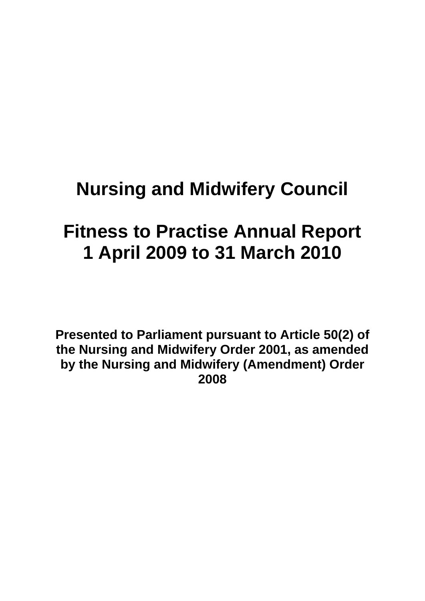# **Nursing and Midwifery Council**

# **Fitness to Practise Annual Report 1 April 2009 to 31 March 2010**

**Presented to Parliament pursuant to Article 50(2) of the Nursing and Midwifery Order 2001, as amended by the Nursing and Midwifery (Amendment) Order 2008**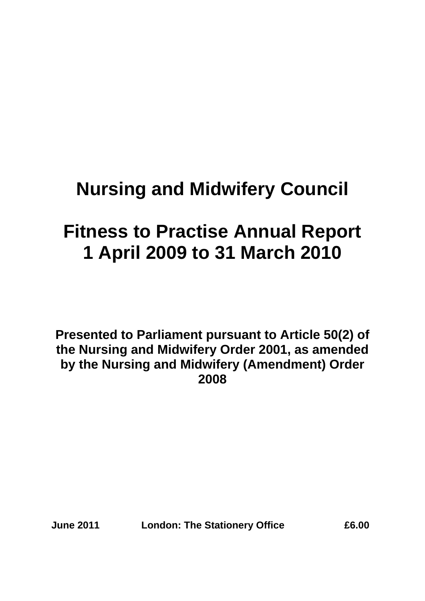# **Nursing and Midwifery Council**

# **Fitness to Practise Annual Report 1 April 2009 to 31 March 2010**

**Presented to Parliament pursuant to Article 50(2) of the Nursing and Midwifery Order 2001, as amended by the Nursing and Midwifery (Amendment) Order 2008** 

**June 2011 London: The Stationery Office £6.00**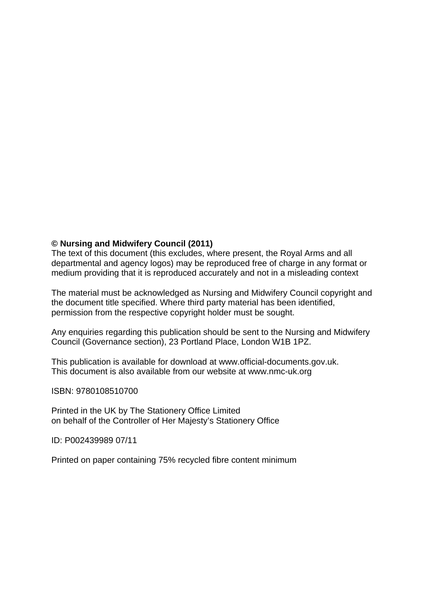#### **© Nursing and Midwifery Council (2011)**

The text of this document (this excludes, where present, the Royal Arms and all departmental and agency logos) may be reproduced free of charge in any format or medium providing that it is reproduced accurately and not in a misleading context

The material must be acknowledged as Nursing and Midwifery Council copyright and the document title specified. Where third party material has been identified, permission from the respective copyright holder must be sought.

Any enquiries regarding this publication should be sent to the Nursing and Midwifery Council (Governance section), 23 Portland Place, London W1B 1PZ.

This publication is available for download at www.official-documents.gov.uk. This document is also available from our website at www.nmc-uk.org

ISBN: 9780108510700

Printed in the UK by The Stationery Office Limited on behalf of the Controller of Her Majesty's Stationery Office

ID: P002439989 07/11

Printed on paper containing 75% recycled fibre content minimum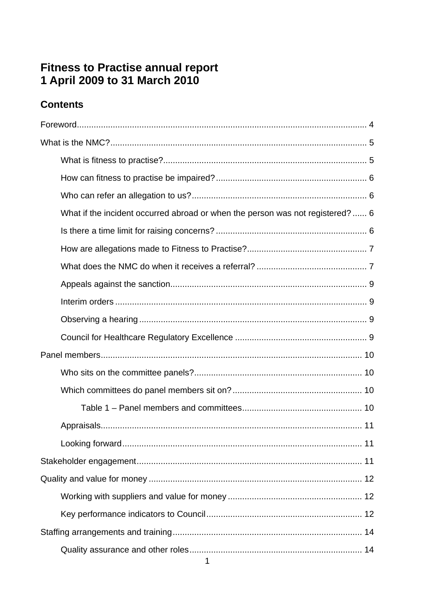# Fitness to Practise annual report<br>1 April 2009 to 31 March 2010

# **Contents**

| What if the incident occurred abroad or when the person was not registered? 6 |
|-------------------------------------------------------------------------------|
|                                                                               |
|                                                                               |
|                                                                               |
|                                                                               |
|                                                                               |
|                                                                               |
|                                                                               |
|                                                                               |
|                                                                               |
|                                                                               |
|                                                                               |
|                                                                               |
|                                                                               |
|                                                                               |
|                                                                               |
|                                                                               |
|                                                                               |
|                                                                               |
|                                                                               |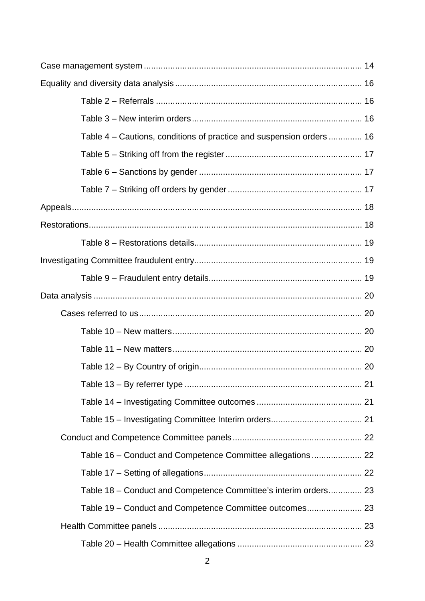| Table 4 - Cautions, conditions of practice and suspension orders  16 |  |
|----------------------------------------------------------------------|--|
|                                                                      |  |
|                                                                      |  |
|                                                                      |  |
|                                                                      |  |
|                                                                      |  |
|                                                                      |  |
|                                                                      |  |
|                                                                      |  |
|                                                                      |  |
|                                                                      |  |
|                                                                      |  |
|                                                                      |  |
|                                                                      |  |
|                                                                      |  |
|                                                                      |  |
|                                                                      |  |
|                                                                      |  |
|                                                                      |  |
|                                                                      |  |
| Table 18 – Conduct and Competence Committee's interim orders 23      |  |
|                                                                      |  |
|                                                                      |  |
|                                                                      |  |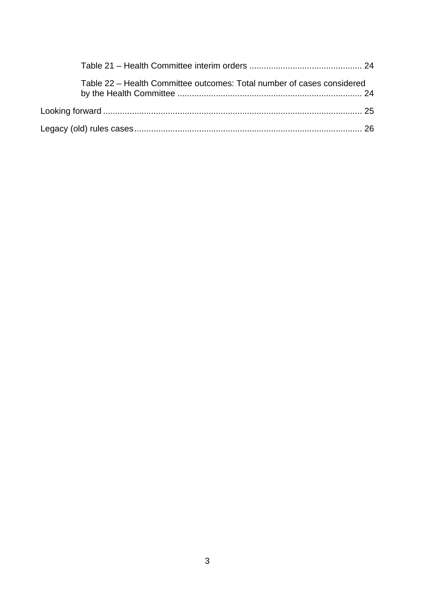| Table 22 - Health Committee outcomes: Total number of cases considered |  |
|------------------------------------------------------------------------|--|
|                                                                        |  |
|                                                                        |  |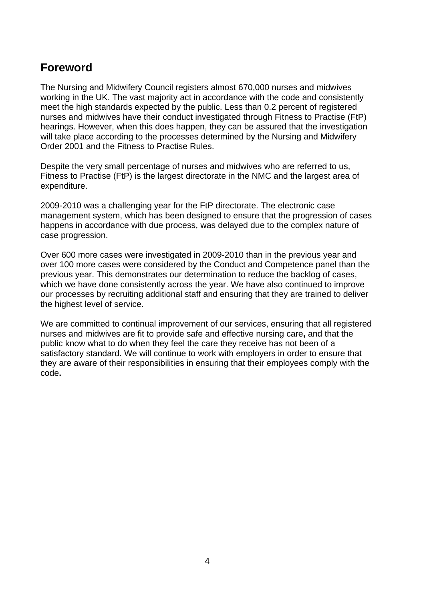# **Foreword**

The Nursing and Midwifery Council registers almost 670,000 nurses and midwives working in the UK. The vast majority act in accordance with the code and consistently meet the high standards expected by the public. Less than 0.2 percent of registered nurses and midwives have their conduct investigated through Fitness to Practise (FtP) hearings. However, when this does happen, they can be assured that the investigation will take place according to the processes determined by the Nursing and Midwifery Order 2001 and the Fitness to Practise Rules.

Despite the very small percentage of nurses and midwives who are referred to us, Fitness to Practise (FtP) is the largest directorate in the NMC and the largest area of expenditure.

2009-2010 was a challenging year for the FtP directorate. The electronic case management system, which has been designed to ensure that the progression of cases happens in accordance with due process, was delayed due to the complex nature of case progression.

Over 600 more cases were investigated in 2009-2010 than in the previous year and over 100 more cases were considered by the Conduct and Competence panel than the previous year. This demonstrates our determination to reduce the backlog of cases, which we have done consistently across the year. We have also continued to improve our processes by recruiting additional staff and ensuring that they are trained to deliver the highest level of service.

We are committed to continual improvement of our services, ensuring that all registered nurses and midwives are fit to provide safe and effective nursing care**,** and that the public know what to do when they feel the care they receive has not been of a satisfactory standard. We will continue to work with employers in order to ensure that they are aware of their responsibilities in ensuring that their employees comply with the code**.**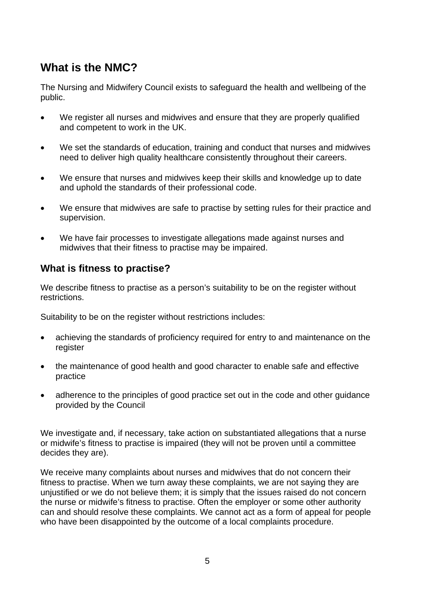# **What is the NMC?**

The Nursing and Midwifery Council exists to safeguard the health and wellbeing of the public.

- We register all nurses and midwives and ensure that they are properly qualified and competent to work in the UK.
- We set the standards of education, training and conduct that nurses and midwives need to deliver high quality healthcare consistently throughout their careers.
- We ensure that nurses and midwives keep their skills and knowledge up to date and uphold the standards of their professional code.
- We ensure that midwives are safe to practise by setting rules for their practice and supervision.
- We have fair processes to investigate allegations made against nurses and midwives that their fitness to practise may be impaired.

#### **What is fitness to practise?**

We describe fitness to practise as a person's suitability to be on the register without restrictions.

Suitability to be on the register without restrictions includes:

- achieving the standards of proficiency required for entry to and maintenance on the register
- the maintenance of good health and good character to enable safe and effective practice
- adherence to the principles of good practice set out in the code and other quidance provided by the Council

We investigate and, if necessary, take action on substantiated allegations that a nurse or midwife's fitness to practise is impaired (they will not be proven until a committee decides they are).

We receive many complaints about nurses and midwives that do not concern their fitness to practise. When we turn away these complaints, we are not saying they are unjustified or we do not believe them; it is simply that the issues raised do not concern the nurse or midwife's fitness to practise. Often the employer or some other authority can and should resolve these complaints. We cannot act as a form of appeal for people who have been disappointed by the outcome of a local complaints procedure.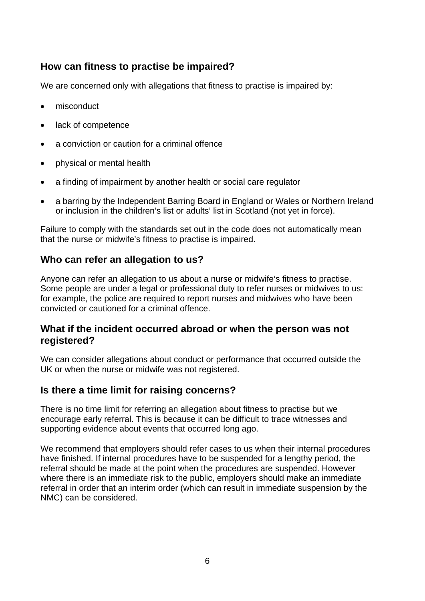### **How can fitness to practise be impaired?**

We are concerned only with allegations that fitness to practise is impaired by:

- misconduct
- lack of competence
- a conviction or caution for a criminal offence
- physical or mental health
- a finding of impairment by another health or social care regulator
- a barring by the Independent Barring Board in England or Wales or Northern Ireland or inclusion in the children's list or adults' list in Scotland (not yet in force).

Failure to comply with the standards set out in the code does not automatically mean that the nurse or midwife's fitness to practise is impaired.

## **Who can refer an allegation to us?**

Anyone can refer an allegation to us about a nurse or midwife's fitness to practise. Some people are under a legal or professional duty to refer nurses or midwives to us: for example, the police are required to report nurses and midwives who have been convicted or cautioned for a criminal offence.

#### **What if the incident occurred abroad or when the person was not registered?**

We can consider allegations about conduct or performance that occurred outside the UK or when the nurse or midwife was not registered.

#### **Is there a time limit for raising concerns?**

There is no time limit for referring an allegation about fitness to practise but we encourage early referral. This is because it can be difficult to trace witnesses and supporting evidence about events that occurred long ago.

We recommend that employers should refer cases to us when their internal procedures have finished. If internal procedures have to be suspended for a lengthy period, the referral should be made at the point when the procedures are suspended. However where there is an immediate risk to the public, employers should make an immediate referral in order that an interim order (which can result in immediate suspension by the NMC) can be considered.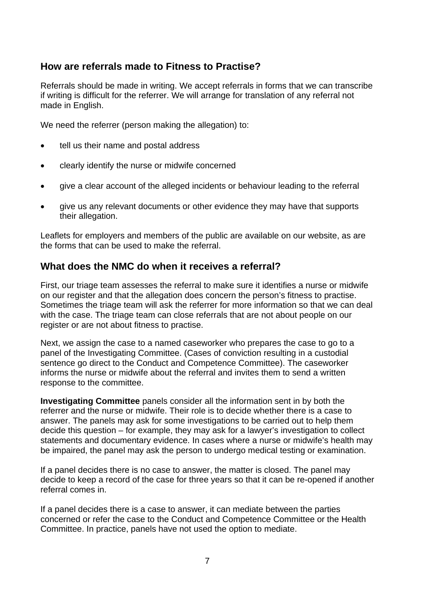#### **How are referrals made to Fitness to Practise?**

Referrals should be made in writing. We accept referrals in forms that we can transcribe if writing is difficult for the referrer. We will arrange for translation of any referral not made in English.

We need the referrer (person making the allegation) to:

- tell us their name and postal address
- clearly identify the nurse or midwife concerned
- give a clear account of the alleged incidents or behaviour leading to the referral
- give us any relevant documents or other evidence they may have that supports their allegation.

Leaflets for employers and members of the public are available on our website, as are the forms that can be used to make the referral.

#### **What does the NMC do when it receives a referral?**

First, our triage team assesses the referral to make sure it identifies a nurse or midwife on our register and that the allegation does concern the person's fitness to practise. Sometimes the triage team will ask the referrer for more information so that we can deal with the case. The triage team can close referrals that are not about people on our register or are not about fitness to practise.

Next, we assign the case to a named caseworker who prepares the case to go to a panel of the Investigating Committee. (Cases of conviction resulting in a custodial sentence go direct to the Conduct and Competence Committee). The caseworker informs the nurse or midwife about the referral and invites them to send a written response to the committee.

**Investigating Committee** panels consider all the information sent in by both the referrer and the nurse or midwife. Their role is to decide whether there is a case to answer. The panels may ask for some investigations to be carried out to help them decide this question – for example, they may ask for a lawyer's investigation to collect statements and documentary evidence. In cases where a nurse or midwife's health may be impaired, the panel may ask the person to undergo medical testing or examination.

If a panel decides there is no case to answer, the matter is closed. The panel may decide to keep a record of the case for three years so that it can be re-opened if another referral comes in.

If a panel decides there is a case to answer, it can mediate between the parties concerned or refer the case to the Conduct and Competence Committee or the Health Committee. In practice, panels have not used the option to mediate.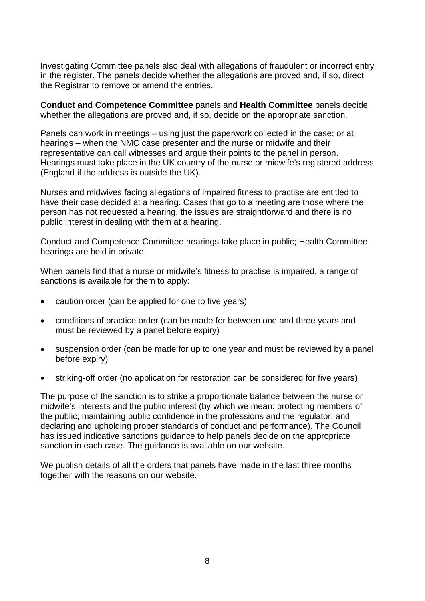Investigating Committee panels also deal with allegations of fraudulent or incorrect entry in the register. The panels decide whether the allegations are proved and, if so, direct the Registrar to remove or amend the entries.

**Conduct and Competence Committee** panels and **Health Committee** panels decide whether the allegations are proved and, if so, decide on the appropriate sanction.

Panels can work in meetings – using just the paperwork collected in the case; or at hearings – when the NMC case presenter and the nurse or midwife and their representative can call witnesses and argue their points to the panel in person. Hearings must take place in the UK country of the nurse or midwife's registered address (England if the address is outside the UK).

Nurses and midwives facing allegations of impaired fitness to practise are entitled to have their case decided at a hearing. Cases that go to a meeting are those where the person has not requested a hearing, the issues are straightforward and there is no public interest in dealing with them at a hearing.

Conduct and Competence Committee hearings take place in public; Health Committee hearings are held in private.

When panels find that a nurse or midwife's fitness to practise is impaired, a range of sanctions is available for them to apply:

- caution order (can be applied for one to five years)
- conditions of practice order (can be made for between one and three years and must be reviewed by a panel before expiry)
- suspension order (can be made for up to one year and must be reviewed by a panel before expiry)
- striking-off order (no application for restoration can be considered for five years)

The purpose of the sanction is to strike a proportionate balance between the nurse or midwife's interests and the public interest (by which we mean: protecting members of the public; maintaining public confidence in the professions and the regulator; and declaring and upholding proper standards of conduct and performance). The Council has issued indicative sanctions guidance to help panels decide on the appropriate sanction in each case. The guidance is available on our website.

We publish details of all the orders that panels have made in the last three months together with the reasons on our website.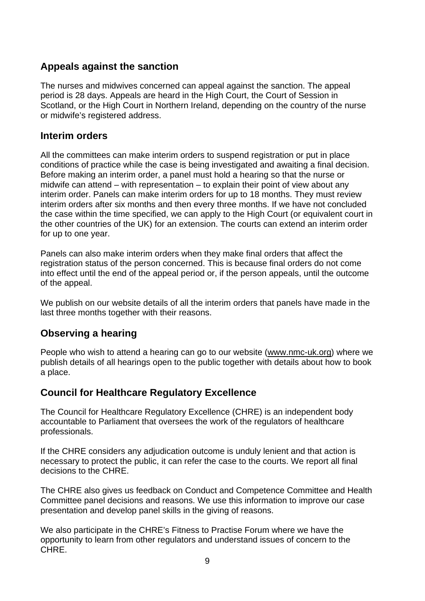#### **Appeals against the sanction**

The nurses and midwives concerned can appeal against the sanction. The appeal period is 28 days. Appeals are heard in the High Court, the Court of Session in Scotland, or the High Court in Northern Ireland, depending on the country of the nurse or midwife's registered address.

#### **Interim orders**

All the committees can make interim orders to suspend registration or put in place conditions of practice while the case is being investigated and awaiting a final decision. Before making an interim order, a panel must hold a hearing so that the nurse or midwife can attend – with representation – to explain their point of view about any interim order. Panels can make interim orders for up to 18 months. They must review interim orders after six months and then every three months. If we have not concluded the case within the time specified, we can apply to the High Court (or equivalent court in the other countries of the UK) for an extension. The courts can extend an interim order for up to one year.

Panels can also make interim orders when they make final orders that affect the registration status of the person concerned. This is because final orders do not come into effect until the end of the appeal period or, if the person appeals, until the outcome of the appeal.

We publish on our website details of all the interim orders that panels have made in the last three months together with their reasons.

#### **Observing a hearing**

People who wish to attend a hearing can go to our website (www.nmc-uk.org) where we publish details of all hearings open to the public together with details about how to book a place.

#### **Council for Healthcare Regulatory Excellence**

The Council for Healthcare Regulatory Excellence (CHRE) is an independent body accountable to Parliament that oversees the work of the regulators of healthcare professionals.

If the CHRE considers any adjudication outcome is unduly lenient and that action is necessary to protect the public, it can refer the case to the courts. We report all final decisions to the CHRE.

The CHRE also gives us feedback on Conduct and Competence Committee and Health Committee panel decisions and reasons. We use this information to improve our case presentation and develop panel skills in the giving of reasons.

We also participate in the CHRE's Fitness to Practise Forum where we have the opportunity to learn from other regulators and understand issues of concern to the CHRE.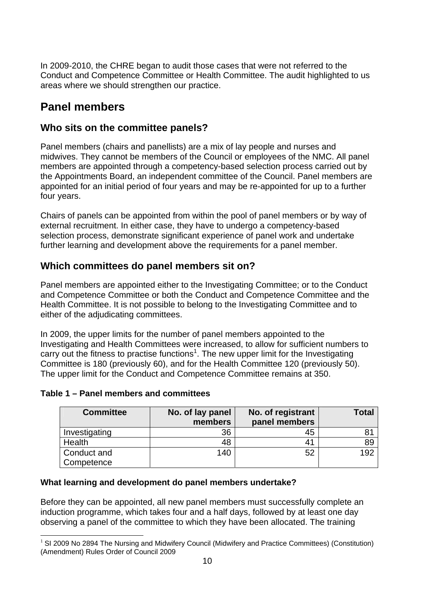In 2009-2010, the CHRE began to audit those cases that were not referred to the Conduct and Competence Committee or Health Committee. The audit highlighted to us areas where we should strengthen our practice.

# **Panel members**

#### **Who sits on the committee panels?**

Panel members (chairs and panellists) are a mix of lay people and nurses and midwives. They cannot be members of the Council or employees of the NMC. All panel members are appointed through a competency-based selection process carried out by the Appointments Board, an independent committee of the Council. Panel members are appointed for an initial period of four years and may be re-appointed for up to a further four years.

Chairs of panels can be appointed from within the pool of panel members or by way of external recruitment. In either case, they have to undergo a competency-based selection process, demonstrate significant experience of panel work and undertake further learning and development above the requirements for a panel member.

# **Which committees do panel members sit on?**

Panel members are appointed either to the Investigating Committee; or to the Conduct and Competence Committee or both the Conduct and Competence Committee and the Health Committee. It is not possible to belong to the Investigating Committee and to either of the adjudicating committees.

In 2009, the upper limits for the number of panel members appointed to the Investigating and Health Committees were increased, to allow for sufficient numbers to carry out the fitness to practise functions<sup>1</sup>. The new upper limit for the Investigating Committee is 180 (previously 60), and for the Health Committee 120 (previously 50). The upper limit for the Conduct and Competence Committee remains at 350.

| <b>Committee</b>          | No. of lay panel<br>members | No. of registrant<br>panel members | Total |
|---------------------------|-----------------------------|------------------------------------|-------|
| Investigating             | 36                          | 45                                 |       |
| Health                    | 48                          |                                    | 89    |
| Conduct and<br>Competence | 140                         | 52                                 | 192   |

#### **Table 1 – Panel members and committees**

#### **What learning and development do panel members undertake?**

Before they can be appointed, all new panel members must successfully complete an induction programme, which takes four and a half days, followed by at least one day observing a panel of the committee to which they have been allocated. The training

 $\overline{a}$  $1$  SI 2009 No 2894 The Nursing and Midwifery Council (Midwifery and Practice Committees) (Constitution) (Amendment) Rules Order of Council 2009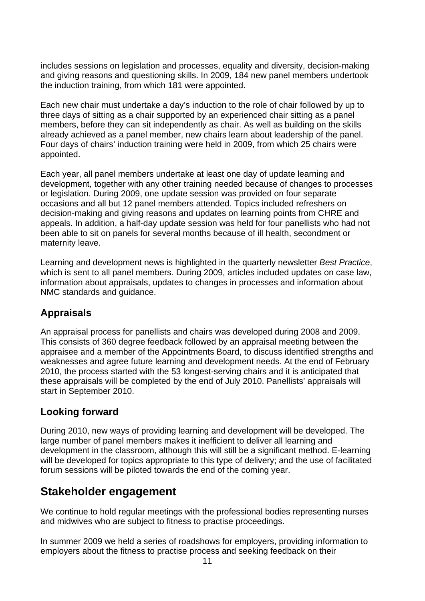includes sessions on legislation and processes, equality and diversity, decision-making and giving reasons and questioning skills. In 2009, 184 new panel members undertook the induction training, from which 181 were appointed.

Each new chair must undertake a day's induction to the role of chair followed by up to three days of sitting as a chair supported by an experienced chair sitting as a panel members, before they can sit independently as chair. As well as building on the skills already achieved as a panel member, new chairs learn about leadership of the panel. Four days of chairs' induction training were held in 2009, from which 25 chairs were appointed.

Each year, all panel members undertake at least one day of update learning and development, together with any other training needed because of changes to processes or legislation. During 2009, one update session was provided on four separate occasions and all but 12 panel members attended. Topics included refreshers on decision-making and giving reasons and updates on learning points from CHRE and appeals. In addition, a half-day update session was held for four panellists who had not been able to sit on panels for several months because of ill health, secondment or maternity leave.

Learning and development news is highlighted in the quarterly newsletter *Best Practice*, which is sent to all panel members. During 2009, articles included updates on case law, information about appraisals, updates to changes in processes and information about NMC standards and guidance.

# **Appraisals**

An appraisal process for panellists and chairs was developed during 2008 and 2009. This consists of 360 degree feedback followed by an appraisal meeting between the appraisee and a member of the Appointments Board, to discuss identified strengths and weaknesses and agree future learning and development needs. At the end of February 2010, the process started with the 53 longest-serving chairs and it is anticipated that these appraisals will be completed by the end of July 2010. Panellists' appraisals will start in September 2010.

# **Looking forward**

During 2010, new ways of providing learning and development will be developed. The large number of panel members makes it inefficient to deliver all learning and development in the classroom, although this will still be a significant method. E-learning will be developed for topics appropriate to this type of delivery; and the use of facilitated forum sessions will be piloted towards the end of the coming year.

# **Stakeholder engagement**

We continue to hold regular meetings with the professional bodies representing nurses and midwives who are subject to fitness to practise proceedings.

In summer 2009 we held a series of roadshows for employers, providing information to employers about the fitness to practise process and seeking feedback on their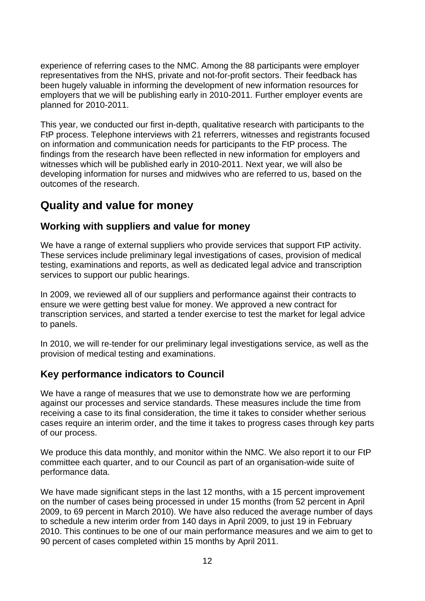experience of referring cases to the NMC. Among the 88 participants were employer representatives from the NHS, private and not-for-profit sectors. Their feedback has been hugely valuable in informing the development of new information resources for employers that we will be publishing early in 2010-2011. Further employer events are planned for 2010-2011.

This year, we conducted our first in-depth, qualitative research with participants to the FtP process. Telephone interviews with 21 referrers, witnesses and registrants focused on information and communication needs for participants to the FtP process. The findings from the research have been reflected in new information for employers and witnesses which will be published early in 2010-2011. Next year, we will also be developing information for nurses and midwives who are referred to us, based on the outcomes of the research.

# **Quality and value for money**

#### **Working with suppliers and value for money**

We have a range of external suppliers who provide services that support FtP activity. These services include preliminary legal investigations of cases, provision of medical testing, examinations and reports, as well as dedicated legal advice and transcription services to support our public hearings.

In 2009, we reviewed all of our suppliers and performance against their contracts to ensure we were getting best value for money. We approved a new contract for transcription services, and started a tender exercise to test the market for legal advice to panels.

In 2010, we will re-tender for our preliminary legal investigations service, as well as the provision of medical testing and examinations.

#### **Key performance indicators to Council**

We have a range of measures that we use to demonstrate how we are performing against our processes and service standards. These measures include the time from receiving a case to its final consideration, the time it takes to consider whether serious cases require an interim order, and the time it takes to progress cases through key parts of our process.

We produce this data monthly, and monitor within the NMC. We also report it to our FtP committee each quarter, and to our Council as part of an organisation-wide suite of performance data.

We have made significant steps in the last 12 months, with a 15 percent improvement on the number of cases being processed in under 15 months (from 52 percent in April 2009, to 69 percent in March 2010). We have also reduced the average number of days to schedule a new interim order from 140 days in April 2009, to just 19 in February 2010. This continues to be one of our main performance measures and we aim to get to 90 percent of cases completed within 15 months by April 2011.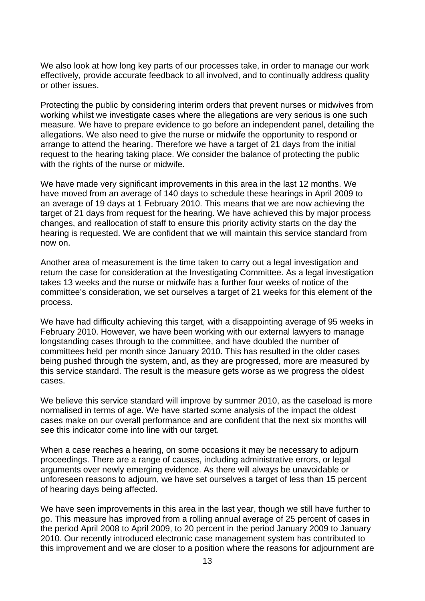We also look at how long key parts of our processes take, in order to manage our work effectively, provide accurate feedback to all involved, and to continually address quality or other issues.

Protecting the public by considering interim orders that prevent nurses or midwives from working whilst we investigate cases where the allegations are very serious is one such measure. We have to prepare evidence to go before an independent panel, detailing the allegations. We also need to give the nurse or midwife the opportunity to respond or arrange to attend the hearing. Therefore we have a target of 21 days from the initial request to the hearing taking place. We consider the balance of protecting the public with the rights of the nurse or midwife.

We have made very significant improvements in this area in the last 12 months. We have moved from an average of 140 days to schedule these hearings in April 2009 to an average of 19 days at 1 February 2010. This means that we are now achieving the target of 21 days from request for the hearing. We have achieved this by major process changes, and reallocation of staff to ensure this priority activity starts on the day the hearing is requested. We are confident that we will maintain this service standard from now on.

Another area of measurement is the time taken to carry out a legal investigation and return the case for consideration at the Investigating Committee. As a legal investigation takes 13 weeks and the nurse or midwife has a further four weeks of notice of the committee's consideration, we set ourselves a target of 21 weeks for this element of the process.

We have had difficulty achieving this target, with a disappointing average of 95 weeks in February 2010. However, we have been working with our external lawyers to manage longstanding cases through to the committee, and have doubled the number of committees held per month since January 2010. This has resulted in the older cases being pushed through the system, and, as they are progressed, more are measured by this service standard. The result is the measure gets worse as we progress the oldest cases.

We believe this service standard will improve by summer 2010, as the caseload is more normalised in terms of age. We have started some analysis of the impact the oldest cases make on our overall performance and are confident that the next six months will see this indicator come into line with our target.

When a case reaches a hearing, on some occasions it may be necessary to adjourn proceedings. There are a range of causes, including administrative errors, or legal arguments over newly emerging evidence. As there will always be unavoidable or unforeseen reasons to adjourn, we have set ourselves a target of less than 15 percent of hearing days being affected.

We have seen improvements in this area in the last year, though we still have further to go. This measure has improved from a rolling annual average of 25 percent of cases in the period April 2008 to April 2009, to 20 percent in the period January 2009 to January 2010. Our recently introduced electronic case management system has contributed to this improvement and we are closer to a position where the reasons for adjournment are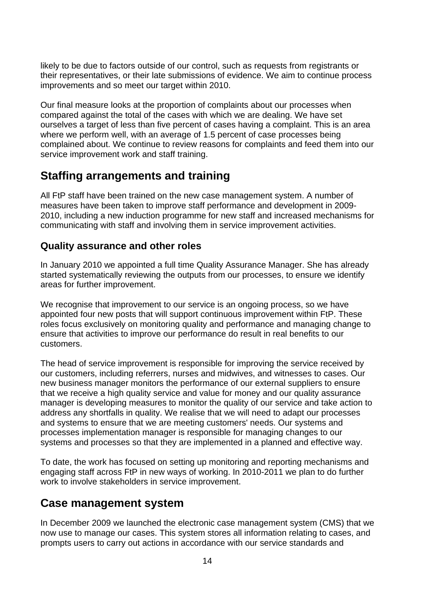likely to be due to factors outside of our control, such as requests from registrants or their representatives, or their late submissions of evidence. We aim to continue process improvements and so meet our target within 2010.

Our final measure looks at the proportion of complaints about our processes when compared against the total of the cases with which we are dealing. We have set ourselves a target of less than five percent of cases having a complaint. This is an area where we perform well, with an average of 1.5 percent of case processes being complained about. We continue to review reasons for complaints and feed them into our service improvement work and staff training.

# **Staffing arrangements and training**

All FtP staff have been trained on the new case management system. A number of measures have been taken to improve staff performance and development in 2009- 2010, including a new induction programme for new staff and increased mechanisms for communicating with staff and involving them in service improvement activities.

# **Quality assurance and other roles**

In January 2010 we appointed a full time Quality Assurance Manager. She has already started systematically reviewing the outputs from our processes, to ensure we identify areas for further improvement.

We recognise that improvement to our service is an ongoing process, so we have appointed four new posts that will support continuous improvement within FtP. These roles focus exclusively on monitoring quality and performance and managing change to ensure that activities to improve our performance do result in real benefits to our customers.

The head of service improvement is responsible for improving the service received by our customers, including referrers, nurses and midwives, and witnesses to cases. Our new business manager monitors the performance of our external suppliers to ensure that we receive a high quality service and value for money and our quality assurance manager is developing measures to monitor the quality of our service and take action to address any shortfalls in quality. We realise that we will need to adapt our processes and systems to ensure that we are meeting customers' needs. Our systems and processes implementation manager is responsible for managing changes to our systems and processes so that they are implemented in a planned and effective way.

To date, the work has focused on setting up monitoring and reporting mechanisms and engaging staff across FtP in new ways of working. In 2010-2011 we plan to do further work to involve stakeholders in service improvement.

# **Case management system**

In December 2009 we launched the electronic case management system (CMS) that we now use to manage our cases. This system stores all information relating to cases, and prompts users to carry out actions in accordance with our service standards and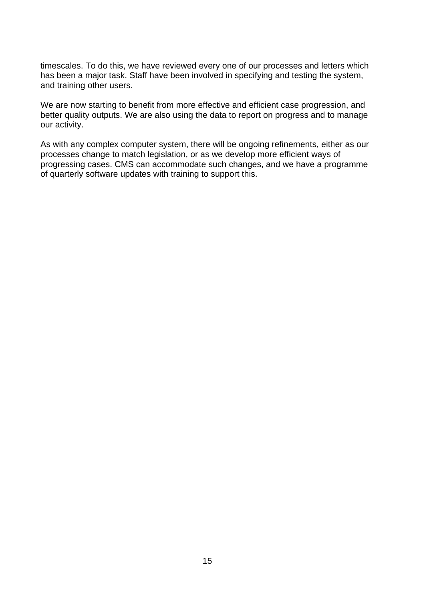timescales. To do this, we have reviewed every one of our processes and letters which has been a major task. Staff have been involved in specifying and testing the system, and training other users.

We are now starting to benefit from more effective and efficient case progression, and better quality outputs. We are also using the data to report on progress and to manage our activity.

As with any complex computer system, there will be ongoing refinements, either as our processes change to match legislation, or as we develop more efficient ways of progressing cases. CMS can accommodate such changes, and we have a programme of quarterly software updates with training to support this.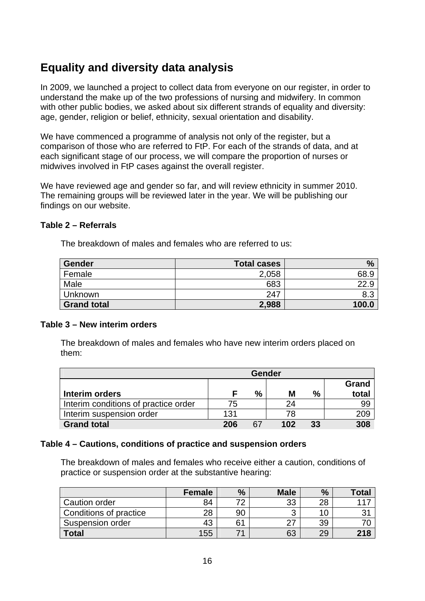# **Equality and diversity data analysis**

In 2009, we launched a project to collect data from everyone on our register, in order to understand the make up of the two professions of nursing and midwifery. In common with other public bodies, we asked about six different strands of equality and diversity: age, gender, religion or belief, ethnicity, sexual orientation and disability.

We have commenced a programme of analysis not only of the register, but a comparison of those who are referred to FtP. For each of the strands of data, and at each significant stage of our process, we will compare the proportion of nurses or midwives involved in FtP cases against the overall register.

We have reviewed age and gender so far, and will review ethnicity in summer 2010. The remaining groups will be reviewed later in the year. We will be publishing our findings on our website.

#### **Table 2 – Referrals**

The breakdown of males and females who are referred to us:

| Gender             | <b>Total cases</b> | %     |
|--------------------|--------------------|-------|
| Female             | 2,058              | 68.9  |
| Male               | 683                | ാറ വ  |
| Unknown            | 247                | 8.3   |
| <b>Grand total</b> | 2,988              | 100.0 |

#### **Table 3 – New interim orders**

The breakdown of males and females who have new interim orders placed on them:

|                                      | <b>Gender</b> |    |     |    |       |
|--------------------------------------|---------------|----|-----|----|-------|
|                                      |               |    |     |    | Grand |
| Interim orders                       |               | %  | М   | %  | total |
| Interim conditions of practice order | 75            |    | 24  |    | 99    |
| Interim suspension order             | 131           |    | 78  |    | 209   |
| <b>Grand total</b>                   | 206           | 67 | 102 | 33 | 308   |

#### **Table 4 – Cautions, conditions of practice and suspension orders**

The breakdown of males and females who receive either a caution, conditions of practice or suspension order at the substantive hearing:

|                        | <b>Female</b> | $\%$ | <b>Male</b> | $\%$ | <b>Total</b> |
|------------------------|---------------|------|-------------|------|--------------|
| Caution order          | 84            |      | 33          | 28   |              |
| Conditions of practice | 28            | 90   |             |      |              |
| Suspension order       | 43            | 61   |             | 39   |              |
| <b>Total</b>           | 155           |      | 63          | 29   | 218          |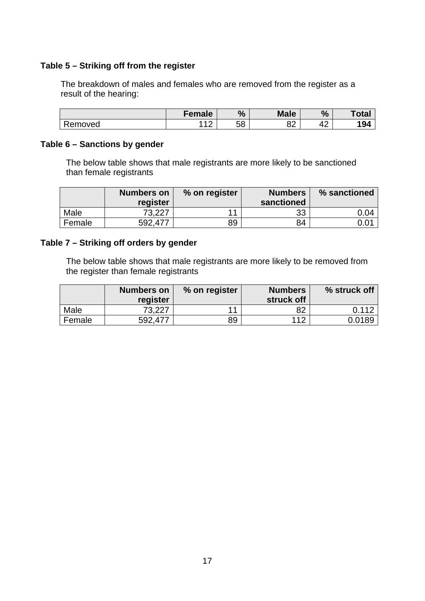#### **Table 5 – Striking off from the register**

The breakdown of males and females who are removed from the register as a result of the hearing:

|         | Female     | $\frac{0}{0}$ | <b>Male</b> | $\frac{0}{0}$ | <b>Total</b> |
|---------|------------|---------------|-------------|---------------|--------------|
| Removed | $\epsilon$ | EΩ<br>Ⴢჾ      | nn.<br>ပ∠   | ∽<br>,,<br>т∠ | 194          |

#### **Table 6 – Sanctions by gender**

The below table shows that male registrants are more likely to be sanctioned than female registrants

|        | Numbers on | % on register | <b>Numbers</b> | % sanctioned |
|--------|------------|---------------|----------------|--------------|
|        | register   |               | sanctioned     |              |
| Male   | 73.227     | 11            | 33             | 0.04         |
| Female | 592.477    | 89            | 84             | 0.01         |

#### **Table 7 – Striking off orders by gender**

The below table shows that male registrants are more likely to be removed from the register than female registrants

|        | <b>Numbers on</b><br>register | % on register | <b>Numbers</b><br>struck off | % struck off |
|--------|-------------------------------|---------------|------------------------------|--------------|
| Male   | 73.227                        | 44            | 82                           | 0.112        |
| Female | 592.477                       | 89            | 112                          | 0.0189       |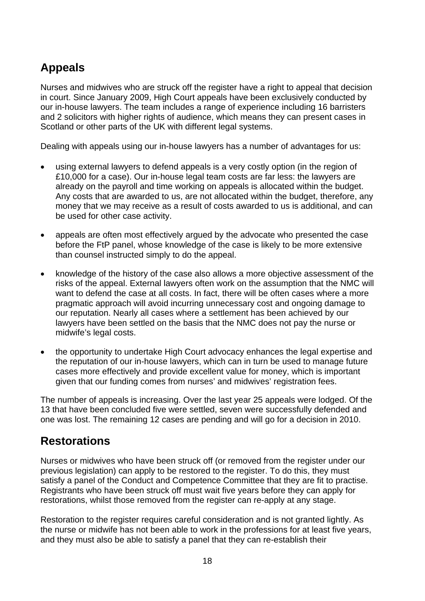# **Appeals**

Nurses and midwives who are struck off the register have a right to appeal that decision in court. Since January 2009, High Court appeals have been exclusively conducted by our in-house lawyers. The team includes a range of experience including 16 barristers and 2 solicitors with higher rights of audience, which means they can present cases in Scotland or other parts of the UK with different legal systems.

Dealing with appeals using our in-house lawyers has a number of advantages for us:

- using external lawyers to defend appeals is a very costly option (in the region of £10,000 for a case). Our in-house legal team costs are far less: the lawyers are already on the payroll and time working on appeals is allocated within the budget. Any costs that are awarded to us, are not allocated within the budget, therefore, any money that we may receive as a result of costs awarded to us is additional, and can be used for other case activity.
- appeals are often most effectively argued by the advocate who presented the case before the FtP panel, whose knowledge of the case is likely to be more extensive than counsel instructed simply to do the appeal.
- knowledge of the history of the case also allows a more objective assessment of the risks of the appeal. External lawyers often work on the assumption that the NMC will want to defend the case at all costs. In fact, there will be often cases where a more pragmatic approach will avoid incurring unnecessary cost and ongoing damage to our reputation. Nearly all cases where a settlement has been achieved by our lawyers have been settled on the basis that the NMC does not pay the nurse or midwife's legal costs.
- the opportunity to undertake High Court advocacy enhances the legal expertise and the reputation of our in-house lawyers, which can in turn be used to manage future cases more effectively and provide excellent value for money, which is important given that our funding comes from nurses' and midwives' registration fees.

The number of appeals is increasing. Over the last year 25 appeals were lodged. Of the 13 that have been concluded five were settled, seven were successfully defended and one was lost. The remaining 12 cases are pending and will go for a decision in 2010.

# **Restorations**

Nurses or midwives who have been struck off (or removed from the register under our previous legislation) can apply to be restored to the register. To do this, they must satisfy a panel of the Conduct and Competence Committee that they are fit to practise. Registrants who have been struck off must wait five years before they can apply for restorations, whilst those removed from the register can re-apply at any stage.

Restoration to the register requires careful consideration and is not granted lightly. As the nurse or midwife has not been able to work in the professions for at least five years, and they must also be able to satisfy a panel that they can re-establish their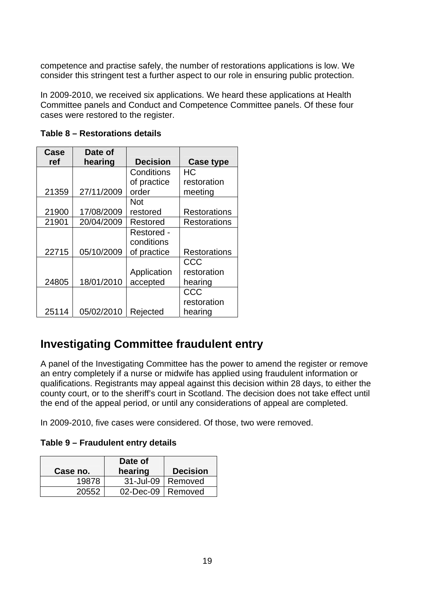competence and practise safely, the number of restorations applications is low. We consider this stringent test a further aspect to our role in ensuring public protection.

In 2009-2010, we received six applications. We heard these applications at Health Committee panels and Conduct and Competence Committee panels. Of these four cases were restored to the register.

| Case  | Date of    |                 |                     |
|-------|------------|-----------------|---------------------|
| ref   | hearing    | <b>Decision</b> | <b>Case type</b>    |
|       |            | Conditions      | HС                  |
|       |            | of practice     | restoration         |
| 21359 | 27/11/2009 | order           | meeting             |
|       |            | Not             |                     |
| 21900 | 17/08/2009 | restored        | <b>Restorations</b> |
| 21901 | 20/04/2009 | Restored        | <b>Restorations</b> |
|       |            | Restored -      |                     |
|       |            | conditions      |                     |
| 22715 | 05/10/2009 | of practice     | <b>Restorations</b> |
|       |            |                 | CCC                 |
|       |            | Application     | restoration         |
| 24805 | 18/01/2010 | accepted        | hearing             |
|       |            |                 | CCC                 |
|       |            |                 | restoration         |
| 25114 | 05/02/2010 | Rejected        | hearing             |

**Table 8 – Restorations details** 

# **Investigating Committee fraudulent entry**

A panel of the Investigating Committee has the power to amend the register or remove an entry completely if a nurse or midwife has applied using fraudulent information or qualifications. Registrants may appeal against this decision within 28 days, to either the county court, or to the sheriff's court in Scotland. The decision does not take effect until the end of the appeal period, or until any considerations of appeal are completed.

In 2009-2010, five cases were considered. Of those, two were removed.

**Table 9 – Fraudulent entry details** 

| Case no. | Date of<br>hearing  | <b>Decision</b> |
|----------|---------------------|-----------------|
| 19878    | 31-Jul-09           | Removed         |
| 20552    | 02-Dec-09   Removed |                 |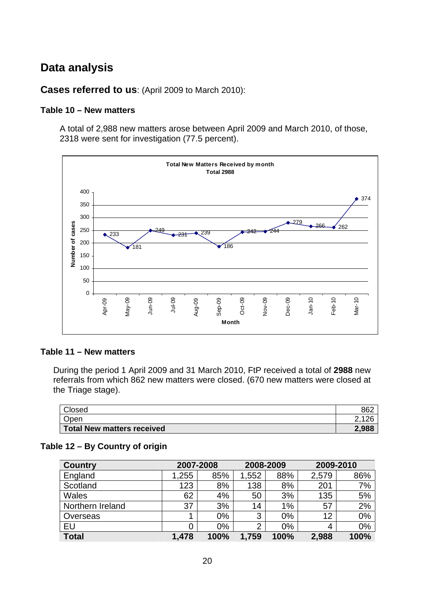# **Data analysis**

**Cases referred to us**: (April 2009 to March 2010):

#### **Table 10 – New matters**

A total of 2,988 new matters arose between April 2009 and March 2010, of those, 2318 were sent for investigation (77.5 percent).



#### **Table 11 – New matters**

During the period 1 April 2009 and 31 March 2010, FtP received a total of **2988** new referrals from which 862 new matters were closed. (670 new matters were closed at the Triage stage).

| Closed                     | 862   |
|----------------------------|-------|
| Open                       | $-1$  |
| Total New matters received | 2,988 |

#### **Table 12 – By Country of origin**

| <b>Country</b>   | 2007-2008 |      | 2008-2009 |       | 2009-2010 |      |
|------------------|-----------|------|-----------|-------|-----------|------|
| England          | 1,255     | 85%  | 1,552     | 88%   | 2,579     | 86%  |
| Scotland         | 123       | 8%   | 138       | 8%    | 201       | 7%   |
| <b>Wales</b>     | 62        | 4%   | 50        | 3%    | 135       | 5%   |
| Northern Ireland | 37        | 3%   | 14        | 1%    | 57        | 2%   |
| Overseas         |           | 0%   | 3         | $0\%$ | 12        | 0%   |
| EU               |           | 0%   | っ         | $0\%$ | 4         | 0%   |
| <b>Total</b>     | 1,478     | 100% | 1,759     | 100%  | 2,988     | 100% |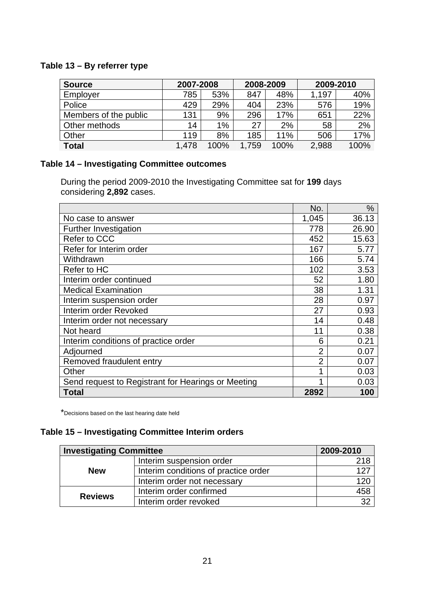#### **Table 13 – By referrer type**

| <b>Source</b>         | 2007-2008 |      | 2008-2009 |      | 2009-2010 |      |
|-----------------------|-----------|------|-----------|------|-----------|------|
| Employer              | 785       | 53%  | 847       | 48%  | 1.197     | 40%  |
| Police                | 429       | 29%  | 404       | 23%  | 576       | 19%  |
| Members of the public | 131       | 9%   | 296       | 17%  | 651       | 22%  |
| Other methods         | 14        | 1%   | 27        | 2%   | 58        | 2%   |
| Other                 | 119       | 8%   | 185       | 11%  | 506       | 17%  |
| <b>Total</b>          | 1.478     | 100% | 1.759     | 100% | 2,988     | 100% |

### **Table 14 – Investigating Committee outcomes**

During the period 2009-2010 the Investigating Committee sat for **199** days considering **2,892** cases.

|                                                    | No.            | %     |
|----------------------------------------------------|----------------|-------|
| No case to answer                                  | 1,045          | 36.13 |
| Further Investigation                              | 778            | 26.90 |
| Refer to CCC                                       | 452            | 15.63 |
| Refer for Interim order                            | 167            | 5.77  |
| Withdrawn                                          | 166            | 5.74  |
| Refer to HC                                        | 102            | 3.53  |
| Interim order continued                            | 52             | 1.80  |
| <b>Medical Examination</b>                         | 38             | 1.31  |
| Interim suspension order                           | 28             | 0.97  |
| Interim order Revoked                              | 27             | 0.93  |
| Interim order not necessary                        | 14             | 0.48  |
| Not heard                                          | 11             | 0.38  |
| Interim conditions of practice order               | 6              | 0.21  |
| Adjourned                                          | $\overline{2}$ | 0.07  |
| Removed fraudulent entry                           | $\overline{2}$ | 0.07  |
| Other                                              |                | 0.03  |
| Send request to Registrant for Hearings or Meeting |                | 0.03  |
| <b>Total</b>                                       | 2892           | 100   |

\*Decisions based on the last hearing date held

#### **Table 15 – Investigating Committee Interim orders**

| <b>Investigating Committee</b> |                                      | 2009-2010        |
|--------------------------------|--------------------------------------|------------------|
|                                | Interim suspension order             | 218              |
| <b>New</b>                     | Interim conditions of practice order | 127              |
|                                | Interim order not necessary          | 12C              |
| <b>Reviews</b>                 | Interim order confirmed              | $\overline{458}$ |
|                                | Interim order revoked                | 32               |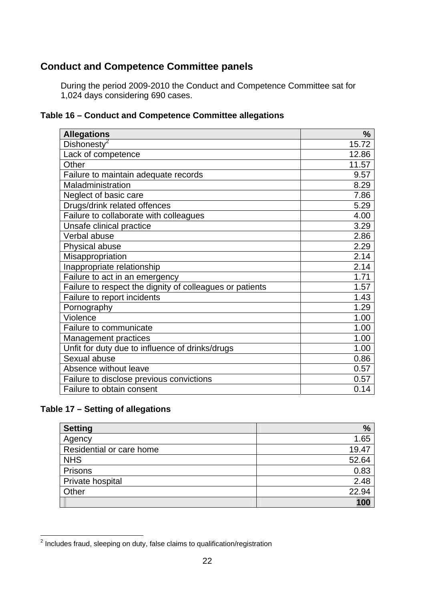## **Conduct and Competence Committee panels**

During the period 2009-2010 the Conduct and Competence Committee sat for 1,024 days considering 690 cases.

| Table 16 - Conduct and Competence Committee allegations |
|---------------------------------------------------------|
|---------------------------------------------------------|

| <b>Allegations</b>                                       | $\frac{9}{6}$ |
|----------------------------------------------------------|---------------|
| Dishonesty <sup>2</sup>                                  | 15.72         |
| Lack of competence                                       | 12.86         |
| Other                                                    | 11.57         |
| Failure to maintain adequate records                     | 9.57          |
| Maladministration                                        | 8.29          |
| Neglect of basic care                                    | 7.86          |
| Drugs/drink related offences                             | 5.29          |
| Failure to collaborate with colleagues                   | 4.00          |
| Unsafe clinical practice                                 | 3.29          |
| Verbal abuse                                             | 2.86          |
| Physical abuse                                           | 2.29          |
| Misappropriation                                         | 2.14          |
| Inappropriate relationship                               | 2.14          |
| Failure to act in an emergency                           | 1.71          |
| Failure to respect the dignity of colleagues or patients | 1.57          |
| Failure to report incidents                              | 1.43          |
| Pornography                                              | 1.29          |
| Violence                                                 | 1.00          |
| <b>Failure to communicate</b>                            | 1.00          |
| Management practices                                     | 1.00          |
| Unfit for duty due to influence of drinks/drugs          | 1.00          |
| Sexual abuse                                             | 0.86          |
| Absence without leave                                    | 0.57          |
| Failure to disclose previous convictions                 | 0.57          |
| Failure to obtain consent                                | 0.14          |

#### **Table 17 – Setting of allegations**

| <b>Setting</b>           | $\%$  |
|--------------------------|-------|
| Agency                   | 1.65  |
| Residential or care home | 19.47 |
| <b>NHS</b>               | 52.64 |
| Prisons                  | 0.83  |
| Private hospital         | 2.48  |
| Other                    | 22.94 |
|                          | 100   |

 2 Includes fraud, sleeping on duty, false claims to qualification/registration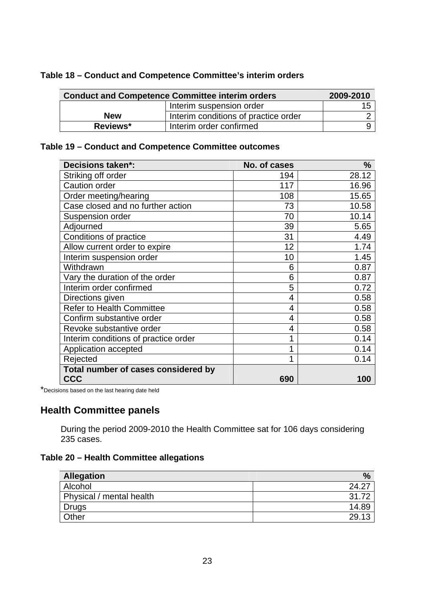| <b>Conduct and Competence Committee interim orders</b> | 2009-2010                            |     |
|--------------------------------------------------------|--------------------------------------|-----|
|                                                        | Interim suspension order             | 15. |
| <b>New</b>                                             | Interim conditions of practice order |     |
| Reviews*                                               | Interim order confirmed              |     |

#### **Table 18 – Conduct and Competence Committee's interim orders**

#### **Table 19 – Conduct and Competence Committee outcomes**

| <b>Decisions taken*:</b>                          | No. of cases | %     |
|---------------------------------------------------|--------------|-------|
| Striking off order                                | 194          | 28.12 |
| Caution order                                     | 117          | 16.96 |
| Order meeting/hearing                             | 108          | 15.65 |
| Case closed and no further action                 | 73           | 10.58 |
| Suspension order                                  | 70           | 10.14 |
| Adjourned                                         | 39           | 5.65  |
| Conditions of practice                            | 31           | 4.49  |
| Allow current order to expire                     | 12           | 1.74  |
| Interim suspension order                          | 10           | 1.45  |
| Withdrawn                                         | 6            | 0.87  |
| Vary the duration of the order                    | 6            | 0.87  |
| Interim order confirmed                           | 5            | 0.72  |
| Directions given                                  | 4            | 0.58  |
| <b>Refer to Health Committee</b>                  | 4            | 0.58  |
| Confirm substantive order                         | 4            | 0.58  |
| Revoke substantive order                          | 4            | 0.58  |
| Interim conditions of practice order              |              | 0.14  |
| Application accepted                              |              | 0.14  |
| Rejected                                          |              | 0.14  |
| Total number of cases considered by<br><b>CCC</b> | 690          | 100   |

\*Decisions based on the last hearing date held

#### **Health Committee panels**

During the period 2009-2010 the Health Committee sat for 106 days considering 235 cases.

#### **Table 20 – Health Committee allegations**

| <b>Allegation</b>        | $\frac{0}{2}$ |
|--------------------------|---------------|
| Alcohol                  | 24.2          |
| Physical / mental health | 31.72         |
| Drugs                    | 14.89         |
| Other                    | 29.13         |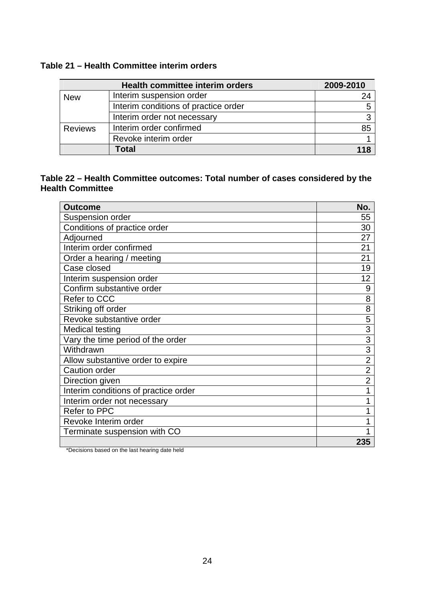#### **Table 21 – Health Committee interim orders**

|                | <b>Health committee interim orders</b> | 2009-2010 |
|----------------|----------------------------------------|-----------|
| <b>New</b>     | Interim suspension order               | 24        |
|                | Interim conditions of practice order   |           |
|                | Interim order not necessary            |           |
| <b>Reviews</b> | Interim order confirmed                | 85        |
|                | Revoke interim order                   |           |
|                | Total                                  |           |

#### **Table 22 – Health Committee outcomes: Total number of cases considered by the Health Committee**

| <b>Outcome</b>                       | No.            |
|--------------------------------------|----------------|
| Suspension order                     | 55             |
| Conditions of practice order         | 30             |
| Adjourned                            | 27             |
| Interim order confirmed              | 21             |
| Order a hearing / meeting            | 21             |
| Case closed                          | 19             |
| Interim suspension order             | 12             |
| Confirm substantive order            | 9              |
| Refer to CCC                         | 8              |
| Striking off order                   | 8              |
| Revoke substantive order             | 5              |
| Medical testing                      | 3              |
| Vary the time period of the order    | 3              |
| Withdrawn                            | 3              |
| Allow substantive order to expire    | $\overline{2}$ |
| <b>Caution order</b>                 | $\overline{2}$ |
| Direction given                      | $\overline{2}$ |
| Interim conditions of practice order | 1              |
| Interim order not necessary          | 1              |
| Refer to PPC                         | 1              |
| Revoke Interim order                 |                |
| Terminate suspension with CO         |                |
|                                      | 235            |

\*Decisions based on the last hearing date held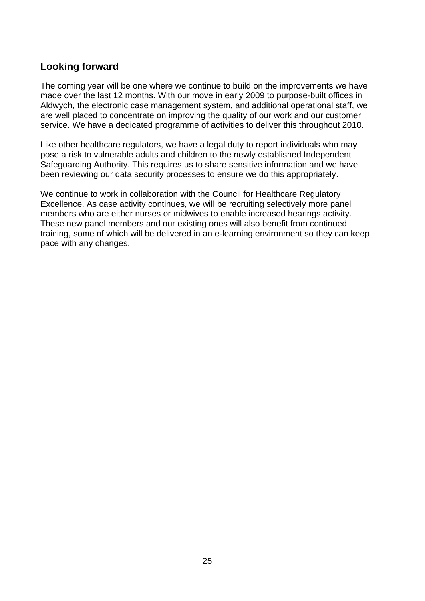#### **Looking forward**

The coming year will be one where we continue to build on the improvements we have made over the last 12 months. With our move in early 2009 to purpose-built offices in Aldwych, the electronic case management system, and additional operational staff, we are well placed to concentrate on improving the quality of our work and our customer service. We have a dedicated programme of activities to deliver this throughout 2010.

Like other healthcare regulators, we have a legal duty to report individuals who may pose a risk to vulnerable adults and children to the newly established Independent Safeguarding Authority. This requires us to share sensitive information and we have been reviewing our data security processes to ensure we do this appropriately.

We continue to work in collaboration with the Council for Healthcare Regulatory Excellence. As case activity continues, we will be recruiting selectively more panel members who are either nurses or midwives to enable increased hearings activity. These new panel members and our existing ones will also benefit from continued training, some of which will be delivered in an e-learning environment so they can keep pace with any changes.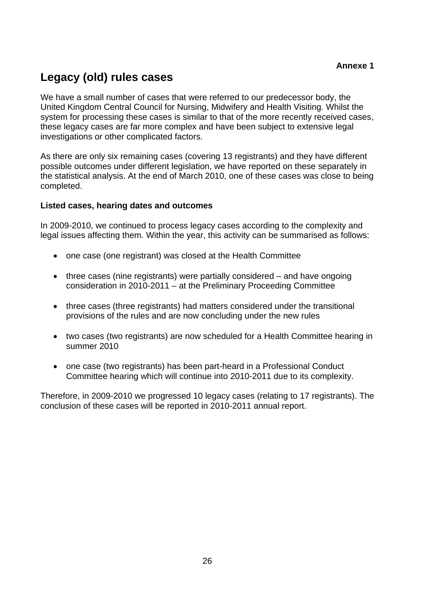# **Legacy (old) rules cases**

We have a small number of cases that were referred to our predecessor body, the United Kingdom Central Council for Nursing, Midwifery and Health Visiting. Whilst the system for processing these cases is similar to that of the more recently received cases, these legacy cases are far more complex and have been subject to extensive legal investigations or other complicated factors.

As there are only six remaining cases (covering 13 registrants) and they have different possible outcomes under different legislation, we have reported on these separately in the statistical analysis. At the end of March 2010, one of these cases was close to being completed.

#### **Listed cases, hearing dates and outcomes**

In 2009-2010, we continued to process legacy cases according to the complexity and legal issues affecting them. Within the year, this activity can be summarised as follows:

- one case (one registrant) was closed at the Health Committee
- three cases (nine registrants) were partially considered and have ongoing consideration in 2010-2011 – at the Preliminary Proceeding Committee
- three cases (three registrants) had matters considered under the transitional provisions of the rules and are now concluding under the new rules
- two cases (two registrants) are now scheduled for a Health Committee hearing in summer 2010
- one case (two registrants) has been part-heard in a Professional Conduct Committee hearing which will continue into 2010-2011 due to its complexity.

Therefore, in 2009-2010 we progressed 10 legacy cases (relating to 17 registrants). The conclusion of these cases will be reported in 2010-2011 annual report.